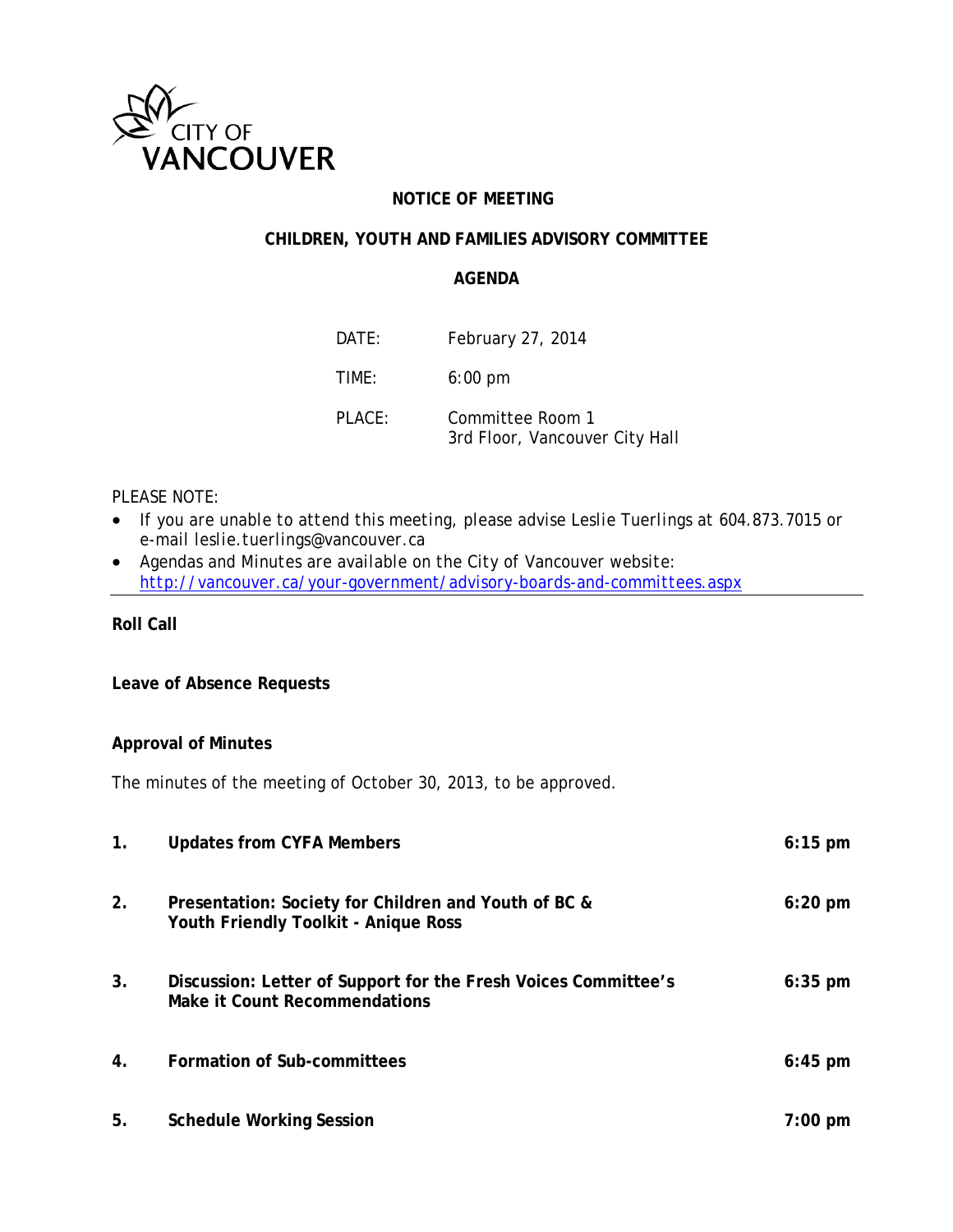

# **NOTICE OF MEETING**

# **CHILDREN, YOUTH AND FAMILIES ADVISORY COMMITTEE**

### **AGENDA**

| DATF:     | February 27, 2014                                  |
|-----------|----------------------------------------------------|
| TIME:     | $6:00 \text{ pm}$                                  |
| $PI$ ACF: | Committee Room 1<br>3rd Floor, Vancouver City Hall |

# *PLEASE NOTE:*

- *If you are unable to attend this meeting, please advise Leslie Tuerlings at 604.873.7015 or e-mail leslie.tuerlings@vancouver.ca*
- *Agendas and Minutes are available on the City of Vancouver website: <http://vancouver.ca/your-government/advisory-boards-and-committees.aspx>*

**Roll Call**

### **Leave of Absence Requests**

#### **Approval of Minutes**

The minutes of the meeting of October 30, 2013, to be approved.

| $\mathbf{1}$ . | <b>Updates from CYFA Members</b>                                                                       | $6:15$ pm         |
|----------------|--------------------------------------------------------------------------------------------------------|-------------------|
| 2.             | Presentation: Society for Children and Youth of BC &<br>Youth Friendly Toolkit - Anique Ross           | $6:20$ pm         |
| 3.             | Discussion: Letter of Support for the Fresh Voices Committee's<br><b>Make it Count Recommendations</b> | $6:35$ pm         |
| 4.             | Formation of Sub-committees                                                                            | $6:45$ pm         |
| 5.             | <b>Schedule Working Session</b>                                                                        | $7:00 \text{ pm}$ |